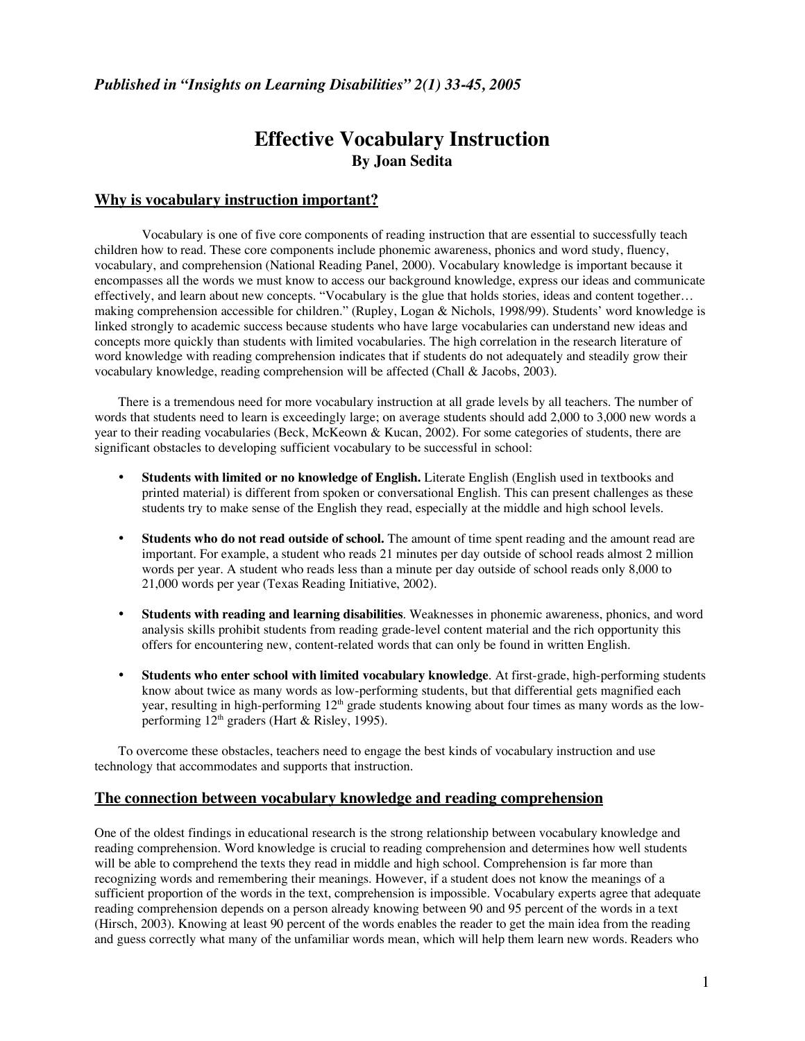# **Effective Vocabulary Instruction By Joan Sedita**

## **Why is vocabulary instruction important?**

Vocabulary is one of five core components of reading instruction that are essential to successfully teach children how to read. These core components include phonemic awareness, phonics and word study, fluency, vocabulary, and comprehension (National Reading Panel, 2000). Vocabulary knowledge is important because it encompasses all the words we must know to access our background knowledge, express our ideas and communicate effectively, and learn about new concepts. "Vocabulary is the glue that holds stories, ideas and content together… making comprehension accessible for children." (Rupley, Logan & Nichols, 1998/99). Students' word knowledge is linked strongly to academic success because students who have large vocabularies can understand new ideas and concepts more quickly than students with limited vocabularies. The high correlation in the research literature of word knowledge with reading comprehension indicates that if students do not adequately and steadily grow their vocabulary knowledge, reading comprehension will be affected (Chall & Jacobs, 2003).

There is a tremendous need for more vocabulary instruction at all grade levels by all teachers. The number of words that students need to learn is exceedingly large; on average students should add 2,000 to 3,000 new words a year to their reading vocabularies (Beck, McKeown & Kucan, 2002). For some categories of students, there are significant obstacles to developing sufficient vocabulary to be successful in school:

- **Students with limited or no knowledge of English.** Literate English (English used in textbooks and printed material) is different from spoken or conversational English. This can present challenges as these students try to make sense of the English they read, especially at the middle and high school levels.
- **Students who do not read outside of school.** The amount of time spent reading and the amount read are important. For example, a student who reads 21 minutes per day outside of school reads almost 2 million words per year. A student who reads less than a minute per day outside of school reads only 8,000 to 21,000 words per year (Texas Reading Initiative, 2002).
- **Students with reading and learning disabilities**. Weaknesses in phonemic awareness, phonics, and word analysis skills prohibit students from reading grade-level content material and the rich opportunity this offers for encountering new, content-related words that can only be found in written English.
- **Students who enter school with limited vocabulary knowledge**. At first-grade, high-performing students know about twice as many words as low-performing students, but that differential gets magnified each year, resulting in high-performing  $12<sup>th</sup>$  grade students knowing about four times as many words as the lowperforming  $12<sup>th</sup>$  graders (Hart & Risley, 1995).

To overcome these obstacles, teachers need to engage the best kinds of vocabulary instruction and use technology that accommodates and supports that instruction.

## **The connection between vocabulary knowledge and reading comprehension**

One of the oldest findings in educational research is the strong relationship between vocabulary knowledge and reading comprehension. Word knowledge is crucial to reading comprehension and determines how well students will be able to comprehend the texts they read in middle and high school. Comprehension is far more than recognizing words and remembering their meanings. However, if a student does not know the meanings of a sufficient proportion of the words in the text, comprehension is impossible. Vocabulary experts agree that adequate reading comprehension depends on a person already knowing between 90 and 95 percent of the words in a text (Hirsch, 2003). Knowing at least 90 percent of the words enables the reader to get the main idea from the reading and guess correctly what many of the unfamiliar words mean, which will help them learn new words. Readers who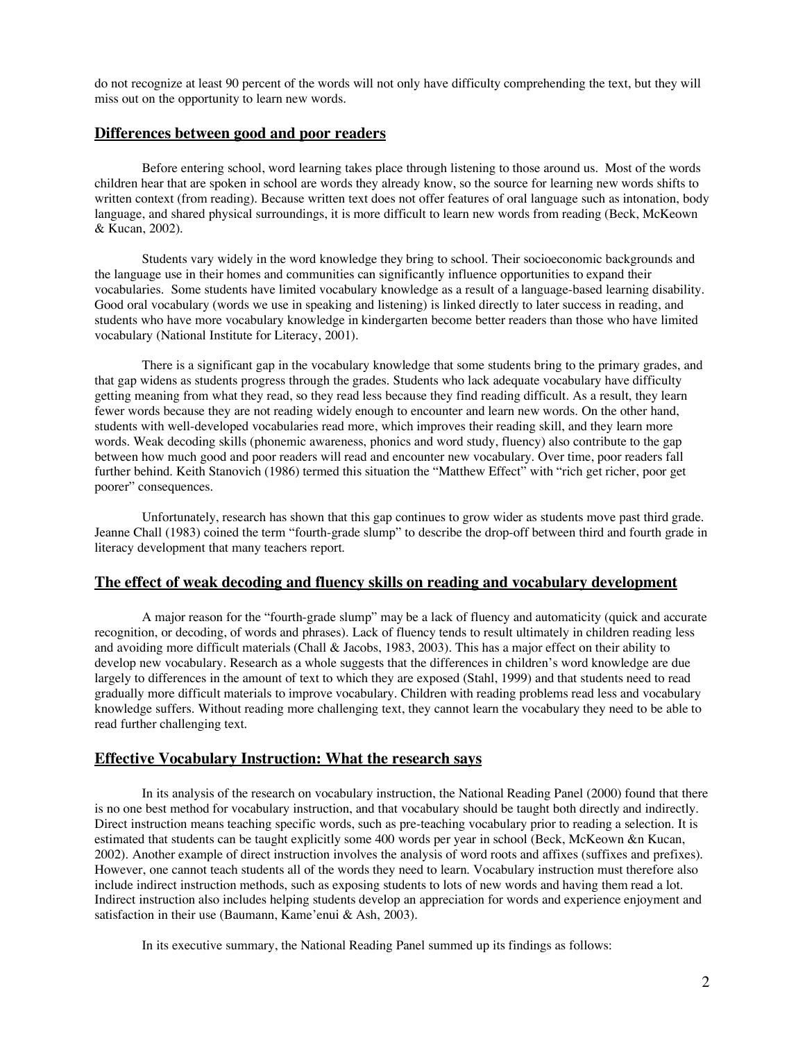do not recognize at least 90 percent of the words will not only have difficulty comprehending the text, but they will miss out on the opportunity to learn new words.

## **Differences between good and poor readers**

Before entering school, word learning takes place through listening to those around us. Most of the words children hear that are spoken in school are words they already know, so the source for learning new words shifts to written context (from reading). Because written text does not offer features of oral language such as intonation, body language, and shared physical surroundings, it is more difficult to learn new words from reading (Beck, McKeown & Kucan, 2002).

Students vary widely in the word knowledge they bring to school. Their socioeconomic backgrounds and the language use in their homes and communities can significantly influence opportunities to expand their vocabularies. Some students have limited vocabulary knowledge as a result of a language-based learning disability. Good oral vocabulary (words we use in speaking and listening) is linked directly to later success in reading, and students who have more vocabulary knowledge in kindergarten become better readers than those who have limited vocabulary (National Institute for Literacy, 2001).

There is a significant gap in the vocabulary knowledge that some students bring to the primary grades, and that gap widens as students progress through the grades. Students who lack adequate vocabulary have difficulty getting meaning from what they read, so they read less because they find reading difficult. As a result, they learn fewer words because they are not reading widely enough to encounter and learn new words. On the other hand, students with well-developed vocabularies read more, which improves their reading skill, and they learn more words. Weak decoding skills (phonemic awareness, phonics and word study, fluency) also contribute to the gap between how much good and poor readers will read and encounter new vocabulary. Over time, poor readers fall further behind. Keith Stanovich (1986) termed this situation the "Matthew Effect" with "rich get richer, poor get poorer" consequences.

Unfortunately, research has shown that this gap continues to grow wider as students move past third grade. Jeanne Chall (1983) coined the term "fourth-grade slump" to describe the drop-off between third and fourth grade in literacy development that many teachers report.

## **The effect of weak decoding and fluency skills on reading and vocabulary development**

A major reason for the "fourth-grade slump" may be a lack of fluency and automaticity (quick and accurate recognition, or decoding, of words and phrases). Lack of fluency tends to result ultimately in children reading less and avoiding more difficult materials (Chall & Jacobs, 1983, 2003). This has a major effect on their ability to develop new vocabulary. Research as a whole suggests that the differences in children's word knowledge are due largely to differences in the amount of text to which they are exposed (Stahl, 1999) and that students need to read gradually more difficult materials to improve vocabulary. Children with reading problems read less and vocabulary knowledge suffers. Without reading more challenging text, they cannot learn the vocabulary they need to be able to read further challenging text.

## **Effective Vocabulary Instruction: What the research says**

In its analysis of the research on vocabulary instruction, the National Reading Panel (2000) found that there is no one best method for vocabulary instruction, and that vocabulary should be taught both directly and indirectly. Direct instruction means teaching specific words, such as pre-teaching vocabulary prior to reading a selection. It is estimated that students can be taught explicitly some 400 words per year in school (Beck, McKeown &n Kucan, 2002). Another example of direct instruction involves the analysis of word roots and affixes (suffixes and prefixes). However, one cannot teach students all of the words they need to learn. Vocabulary instruction must therefore also include indirect instruction methods, such as exposing students to lots of new words and having them read a lot. Indirect instruction also includes helping students develop an appreciation for words and experience enjoyment and satisfaction in their use (Baumann, Kame'enui & Ash, 2003).

In its executive summary, the National Reading Panel summed up its findings as follows: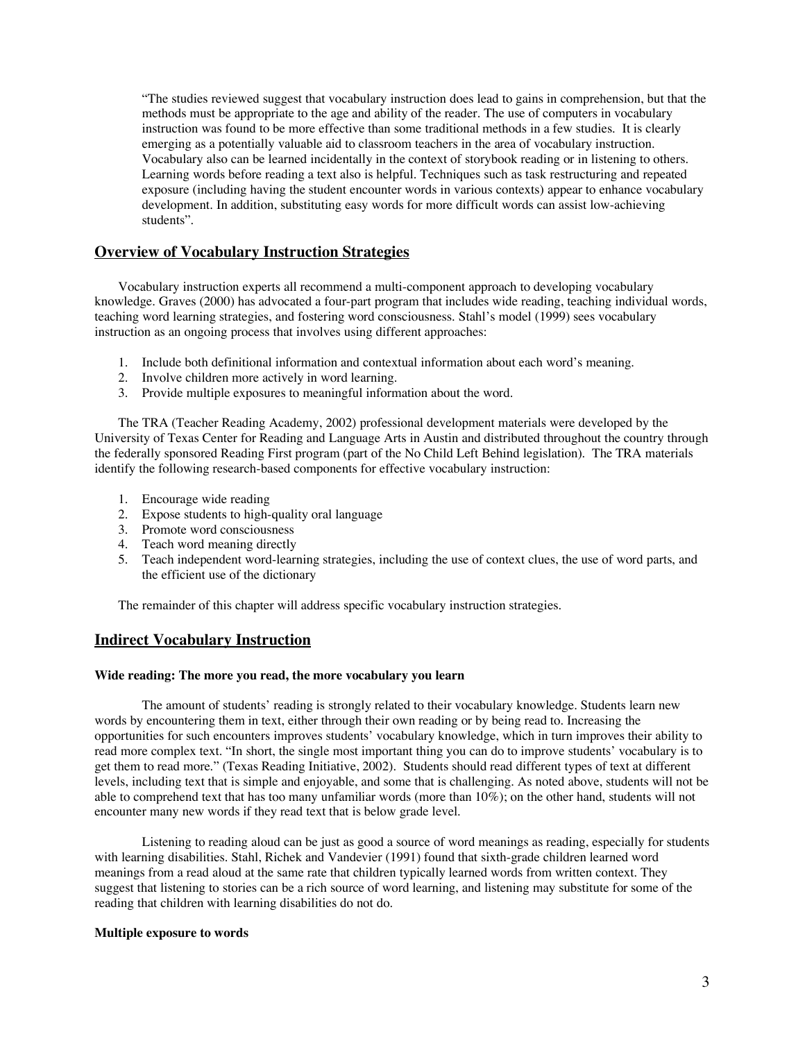"The studies reviewed suggest that vocabulary instruction does lead to gains in comprehension, but that the methods must be appropriate to the age and ability of the reader. The use of computers in vocabulary instruction was found to be more effective than some traditional methods in a few studies. It is clearly emerging as a potentially valuable aid to classroom teachers in the area of vocabulary instruction. Vocabulary also can be learned incidentally in the context of storybook reading or in listening to others. Learning words before reading a text also is helpful. Techniques such as task restructuring and repeated exposure (including having the student encounter words in various contexts) appear to enhance vocabulary development. In addition, substituting easy words for more difficult words can assist low-achieving students".

## **Overview of Vocabulary Instruction Strategies**

Vocabulary instruction experts all recommend a multi-component approach to developing vocabulary knowledge. Graves (2000) has advocated a four-part program that includes wide reading, teaching individual words, teaching word learning strategies, and fostering word consciousness. Stahl's model (1999) sees vocabulary instruction as an ongoing process that involves using different approaches:

- 1. Include both definitional information and contextual information about each word's meaning.
- 2. Involve children more actively in word learning.
- 3. Provide multiple exposures to meaningful information about the word.

The TRA (Teacher Reading Academy, 2002) professional development materials were developed by the University of Texas Center for Reading and Language Arts in Austin and distributed throughout the country through the federally sponsored Reading First program (part of the No Child Left Behind legislation). The TRA materials identify the following research-based components for effective vocabulary instruction:

- 1. Encourage wide reading
- 2. Expose students to high-quality oral language
- 3. Promote word consciousness
- 4. Teach word meaning directly
- 5. Teach independent word-learning strategies, including the use of context clues, the use of word parts, and the efficient use of the dictionary

The remainder of this chapter will address specific vocabulary instruction strategies.

### **Indirect Vocabulary Instruction**

#### **Wide reading: The more you read, the more vocabulary you learn**

The amount of students' reading is strongly related to their vocabulary knowledge. Students learn new words by encountering them in text, either through their own reading or by being read to. Increasing the opportunities for such encounters improves students' vocabulary knowledge, which in turn improves their ability to read more complex text. "In short, the single most important thing you can do to improve students' vocabulary is to get them to read more." (Texas Reading Initiative, 2002). Students should read different types of text at different levels, including text that is simple and enjoyable, and some that is challenging. As noted above, students will not be able to comprehend text that has too many unfamiliar words (more than 10%); on the other hand, students will not encounter many new words if they read text that is below grade level.

Listening to reading aloud can be just as good a source of word meanings as reading, especially for students with learning disabilities. Stahl, Richek and Vandevier (1991) found that sixth-grade children learned word meanings from a read aloud at the same rate that children typically learned words from written context. They suggest that listening to stories can be a rich source of word learning, and listening may substitute for some of the reading that children with learning disabilities do not do.

#### **Multiple exposure to words**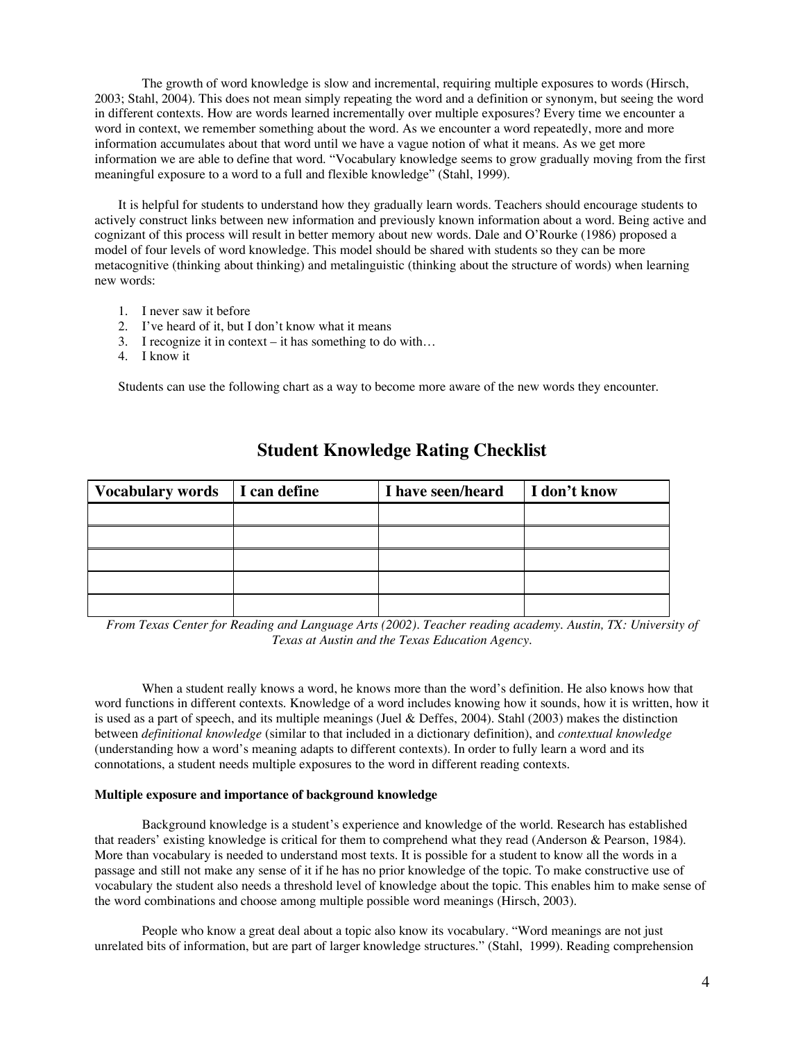The growth of word knowledge is slow and incremental, requiring multiple exposures to words (Hirsch, 2003; Stahl, 2004). This does not mean simply repeating the word and a definition or synonym, but seeing the word in different contexts. How are words learned incrementally over multiple exposures? Every time we encounter a word in context, we remember something about the word. As we encounter a word repeatedly, more and more information accumulates about that word until we have a vague notion of what it means. As we get more information we are able to define that word. "Vocabulary knowledge seems to grow gradually moving from the first meaningful exposure to a word to a full and flexible knowledge" (Stahl, 1999).

It is helpful for students to understand how they gradually learn words. Teachers should encourage students to actively construct links between new information and previously known information about a word. Being active and cognizant of this process will result in better memory about new words. Dale and O'Rourke (1986) proposed a model of four levels of word knowledge. This model should be shared with students so they can be more metacognitive (thinking about thinking) and metalinguistic (thinking about the structure of words) when learning new words:

- 1. I never saw it before
- 2. I've heard of it, but I don't know what it means
- 3. I recognize it in context it has something to do with…
- 4. I know it

Students can use the following chart as a way to become more aware of the new words they encounter.

| Vocabulary words   I can define | I have seen/heard   I don't know |  |
|---------------------------------|----------------------------------|--|
|                                 |                                  |  |
|                                 |                                  |  |
|                                 |                                  |  |
|                                 |                                  |  |
|                                 |                                  |  |

## **Student Knowledge Rating Checklist**

*From Texas Center for Reading and Language Arts (2002). Teacher reading academy. Austin, TX: University of Texas at Austin and the Texas Education Agency.*

When a student really knows a word, he knows more than the word's definition. He also knows how that word functions in different contexts. Knowledge of a word includes knowing how it sounds, how it is written, how it is used as a part of speech, and its multiple meanings (Juel & Deffes, 2004). Stahl (2003) makes the distinction between *definitional knowledge* (similar to that included in a dictionary definition), and *contextual knowledge* (understanding how a word's meaning adapts to different contexts). In order to fully learn a word and its connotations, a student needs multiple exposures to the word in different reading contexts.

### **Multiple exposure and importance of background knowledge**

Background knowledge is a student's experience and knowledge of the world. Research has established that readers' existing knowledge is critical for them to comprehend what they read (Anderson & Pearson, 1984). More than vocabulary is needed to understand most texts. It is possible for a student to know all the words in a passage and still not make any sense of it if he has no prior knowledge of the topic. To make constructive use of vocabulary the student also needs a threshold level of knowledge about the topic. This enables him to make sense of the word combinations and choose among multiple possible word meanings (Hirsch, 2003).

People who know a great deal about a topic also know its vocabulary. "Word meanings are not just unrelated bits of information, but are part of larger knowledge structures." (Stahl, 1999). Reading comprehension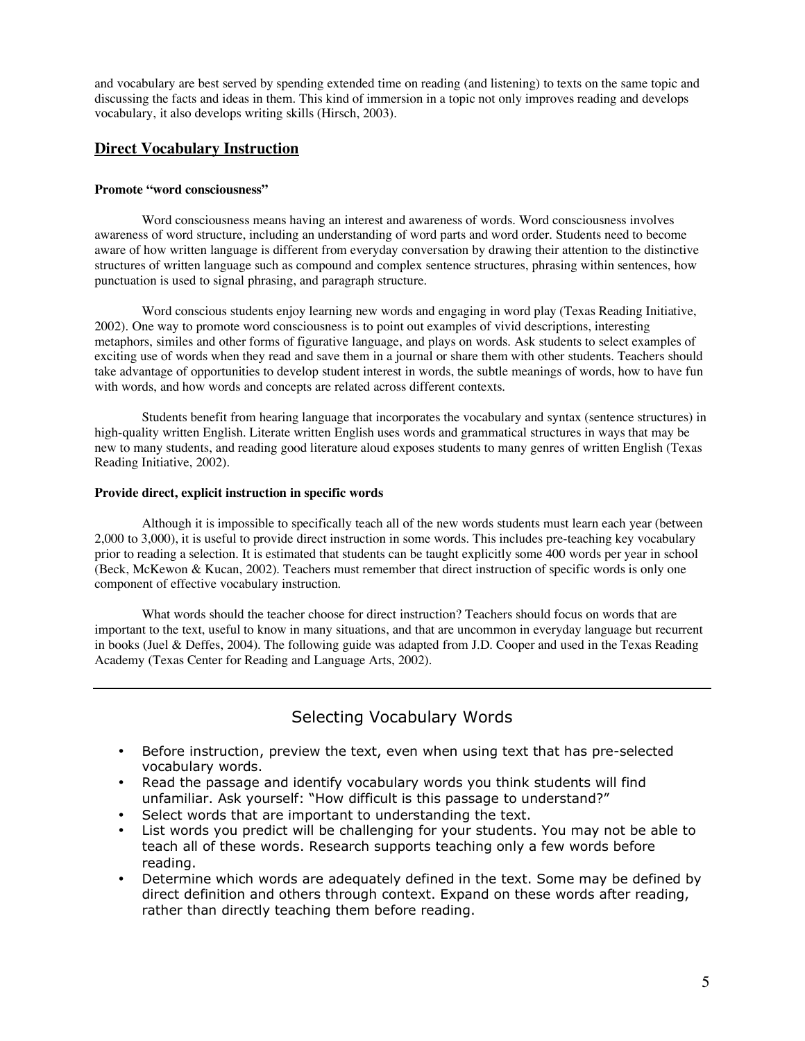and vocabulary are best served by spending extended time on reading (and listening) to texts on the same topic and discussing the facts and ideas in them. This kind of immersion in a topic not only improves reading and develops vocabulary, it also develops writing skills (Hirsch, 2003).

## **Direct Vocabulary Instruction**

### **Promote "word consciousness"**

Word consciousness means having an interest and awareness of words. Word consciousness involves awareness of word structure, including an understanding of word parts and word order. Students need to become aware of how written language is different from everyday conversation by drawing their attention to the distinctive structures of written language such as compound and complex sentence structures, phrasing within sentences, how punctuation is used to signal phrasing, and paragraph structure.

Word conscious students enjoy learning new words and engaging in word play (Texas Reading Initiative, 2002). One way to promote word consciousness is to point out examples of vivid descriptions, interesting metaphors, similes and other forms of figurative language, and plays on words. Ask students to select examples of exciting use of words when they read and save them in a journal or share them with other students. Teachers should take advantage of opportunities to develop student interest in words, the subtle meanings of words, how to have fun with words, and how words and concepts are related across different contexts.

Students benefit from hearing language that incorporates the vocabulary and syntax (sentence structures) in high-quality written English. Literate written English uses words and grammatical structures in ways that may be new to many students, and reading good literature aloud exposes students to many genres of written English (Texas Reading Initiative, 2002).

### **Provide direct, explicit instruction in specific words**

Although it is impossible to specifically teach all of the new words students must learn each year (between 2,000 to 3,000), it is useful to provide direct instruction in some words. This includes pre-teaching key vocabulary prior to reading a selection. It is estimated that students can be taught explicitly some 400 words per year in school (Beck, McKewon & Kucan, 2002). Teachers must remember that direct instruction of specific words is only one component of effective vocabulary instruction.

What words should the teacher choose for direct instruction? Teachers should focus on words that are important to the text, useful to know in many situations, and that are uncommon in everyday language but recurrent in books (Juel & Deffes, 2004). The following guide was adapted from J.D. Cooper and used in the Texas Reading Academy (Texas Center for Reading and Language Arts, 2002).

# Selecting Vocabulary Words

- Before instruction, preview the text, even when using text that has pre-selected vocabulary words.
- Read the passage and identify vocabulary words you think students will find unfamiliar. Ask yourself: "How difficult is this passage to understand?"
- Select words that are important to understanding the text.
- List words you predict will be challenging for your students. You may not be able to teach all of these words. Research supports teaching only a few words before reading.
- Determine which words are adequately defined in the text. Some may be defined by direct definition and others through context. Expand on these words after reading, rather than directly teaching them before reading.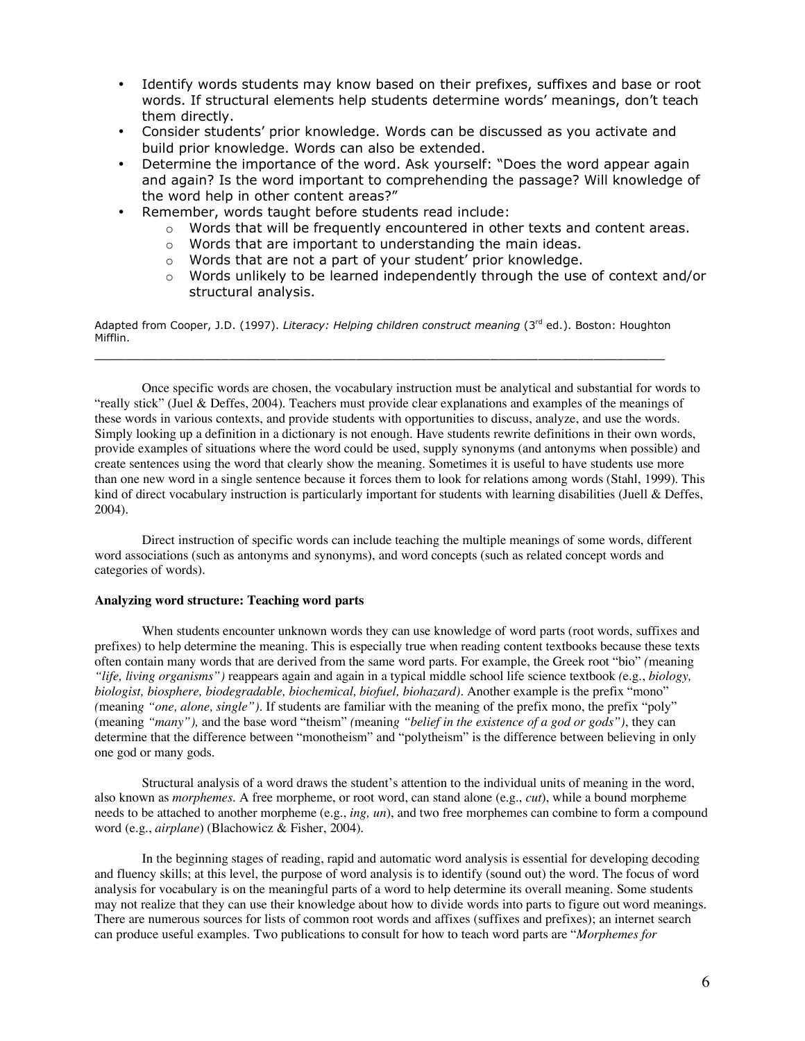- Identify words students may know based on their prefixes, suffixes and base or root words. If structural elements help students determine words' meanings, don't teach them directly.
- Consider students' prior knowledge. Words can be discussed as you activate and build prior knowledge. Words can also be extended.
- Determine the importance of the word. Ask yourself: "Does the word appear again and again? Is the word important to comprehending the passage? Will knowledge of the word help in other content areas?"
- Remember, words taught before students read include:
	- $\circ$  Words that will be frequently encountered in other texts and content areas.
	- o Words that are important to understanding the main ideas.
	- o Words that are not a part of your student' prior knowledge.
	- $\circ$  Words unlikely to be learned independently through the use of context and/or structural analysis.

Adapted from Cooper, J.D. (1997). *Literacy: Helping children construct meaning* (3rd ed.). Boston: Houghton Mifflin. \_\_\_\_\_\_\_\_\_\_\_\_\_\_\_\_\_\_\_\_\_\_\_\_\_\_\_\_\_\_\_\_\_\_\_\_\_\_\_\_\_\_\_\_\_\_\_\_\_\_\_\_\_\_\_\_\_\_\_\_\_\_\_\_\_\_\_\_\_\_\_\_

Once specific words are chosen, the vocabulary instruction must be analytical and substantial for words to "really stick" (Juel & Deffes, 2004). Teachers must provide clear explanations and examples of the meanings of these words in various contexts, and provide students with opportunities to discuss, analyze, and use the words. Simply looking up a definition in a dictionary is not enough. Have students rewrite definitions in their own words, provide examples of situations where the word could be used, supply synonyms (and antonyms when possible) and create sentences using the word that clearly show the meaning. Sometimes it is useful to have students use more than one new word in a single sentence because it forces them to look for relations among words (Stahl, 1999). This kind of direct vocabulary instruction is particularly important for students with learning disabilities (Juell & Deffes, 2004).

Direct instruction of specific words can include teaching the multiple meanings of some words, different word associations (such as antonyms and synonyms), and word concepts (such as related concept words and categories of words).

### **Analyzing word structure: Teaching word parts**

When students encounter unknown words they can use knowledge of word parts (root words, suffixes and prefixes) to help determine the meaning. This is especially true when reading content textbooks because these texts often contain many words that are derived from the same word parts. For example, the Greek root "bio" *(*meaning *"life, living organisms")* reappears again and again in a typical middle school life science textbook *(*e.g., *biology, biologist, biosphere, biodegradable, biochemical, biofuel, biohazard)*. Another example is the prefix "mono" *(*meanin*g "one, alone, single").* If students are familiar with the meaning of the prefix mono, the prefix "poly" (meaning *"many"),* and the base word "theism" *(*meanin*g "belief in the existence of a god or gods")*, they can determine that the difference between "monotheism" and "polytheism" is the difference between believing in only one god or many gods.

Structural analysis of a word draws the student's attention to the individual units of meaning in the word, also known as *morphemes*. A free morpheme, or root word, can stand alone (e.g., *cut*), while a bound morpheme needs to be attached to another morpheme (e.g., *ing, un*), and two free morphemes can combine to form a compound word (e.g., *airplane*) (Blachowicz & Fisher, 2004).

In the beginning stages of reading, rapid and automatic word analysis is essential for developing decoding and fluency skills; at this level, the purpose of word analysis is to identify (sound out) the word. The focus of word analysis for vocabulary is on the meaningful parts of a word to help determine its overall meaning. Some students may not realize that they can use their knowledge about how to divide words into parts to figure out word meanings. There are numerous sources for lists of common root words and affixes (suffixes and prefixes); an internet search can produce useful examples. Two publications to consult for how to teach word parts are "*Morphemes for*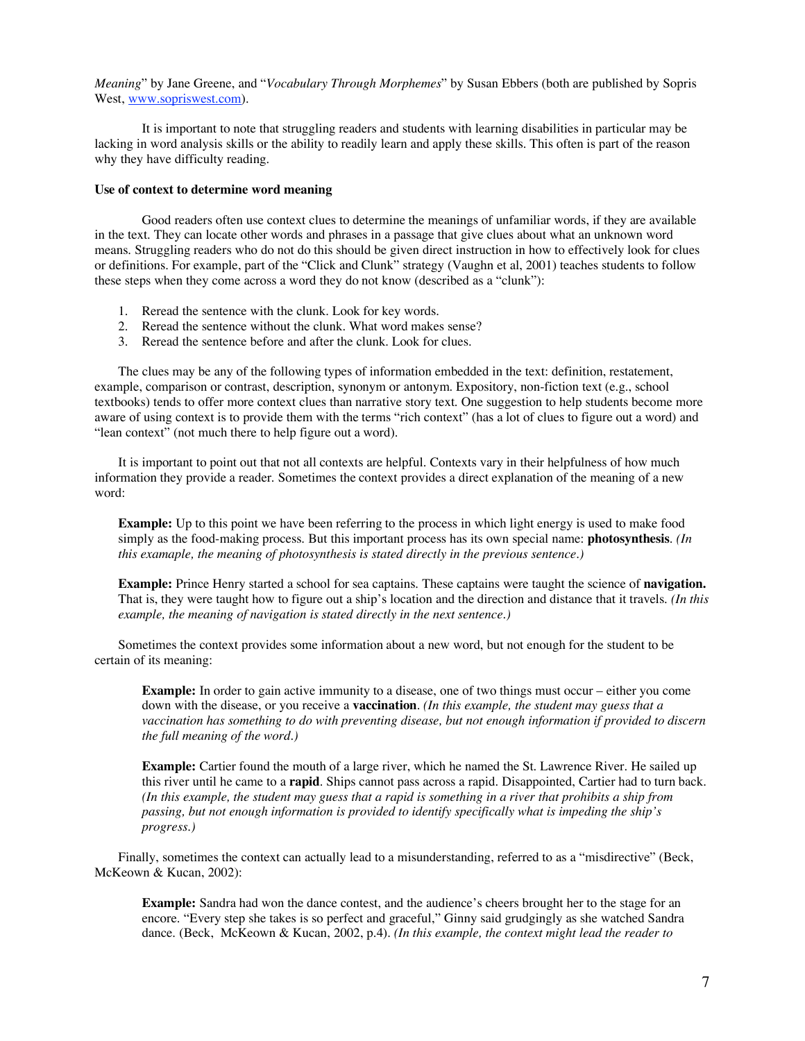*Meaning*" by Jane Greene, and "*Vocabulary Through Morphemes*" by Susan Ebbers (both are published by Sopris West, www.sopriswest.com).

It is important to note that struggling readers and students with learning disabilities in particular may be lacking in word analysis skills or the ability to readily learn and apply these skills. This often is part of the reason why they have difficulty reading.

#### **Use of context to determine word meaning**

Good readers often use context clues to determine the meanings of unfamiliar words, if they are available in the text. They can locate other words and phrases in a passage that give clues about what an unknown word means. Struggling readers who do not do this should be given direct instruction in how to effectively look for clues or definitions. For example, part of the "Click and Clunk" strategy (Vaughn et al, 2001) teaches students to follow these steps when they come across a word they do not know (described as a "clunk"):

- 1. Reread the sentence with the clunk. Look for key words.
- 2. Reread the sentence without the clunk. What word makes sense?
- 3. Reread the sentence before and after the clunk. Look for clues.

The clues may be any of the following types of information embedded in the text: definition, restatement, example, comparison or contrast, description, synonym or antonym. Expository, non-fiction text (e.g., school textbooks) tends to offer more context clues than narrative story text. One suggestion to help students become more aware of using context is to provide them with the terms "rich context" (has a lot of clues to figure out a word) and "lean context" (not much there to help figure out a word).

It is important to point out that not all contexts are helpful. Contexts vary in their helpfulness of how much information they provide a reader. Sometimes the context provides a direct explanation of the meaning of a new word:

**Example:** Up to this point we have been referring to the process in which light energy is used to make food simply as the food-making process. But this important process has its own special name: **photosynthesis**. *(In this examaple, the meaning of photosynthesis is stated directly in the previous sentence.)*

**Example:** Prince Henry started a school for sea captains. These captains were taught the science of **navigation.** That is, they were taught how to figure out a ship's location and the direction and distance that it travels. *(In this example, the meaning of navigation is stated directly in the next sentence.)*

Sometimes the context provides some information about a new word, but not enough for the student to be certain of its meaning:

**Example:** In order to gain active immunity to a disease, one of two things must occur – either you come down with the disease, or you receive a **vaccination**. *(In this example, the student may guess that a vaccination has something to do with preventing disease, but not enough information if provided to discern the full meaning of the word.)*

**Example:** Cartier found the mouth of a large river, which he named the St. Lawrence River. He sailed up this river until he came to a **rapid**. Ships cannot pass across a rapid. Disappointed, Cartier had to turn back. *(In this example, the student may guess that a rapid is something in a river that prohibits a ship from passing, but not enough information is provided to identify specifically what is impeding the ship's progress.)*

Finally, sometimes the context can actually lead to a misunderstanding, referred to as a "misdirective" (Beck, McKeown & Kucan, 2002):

**Example:** Sandra had won the dance contest, and the audience's cheers brought her to the stage for an encore. "Every step she takes is so perfect and graceful," Ginny said grudgingly as she watched Sandra dance. (Beck, McKeown & Kucan, 2002, p.4). *(In this example, the context might lead the reader to*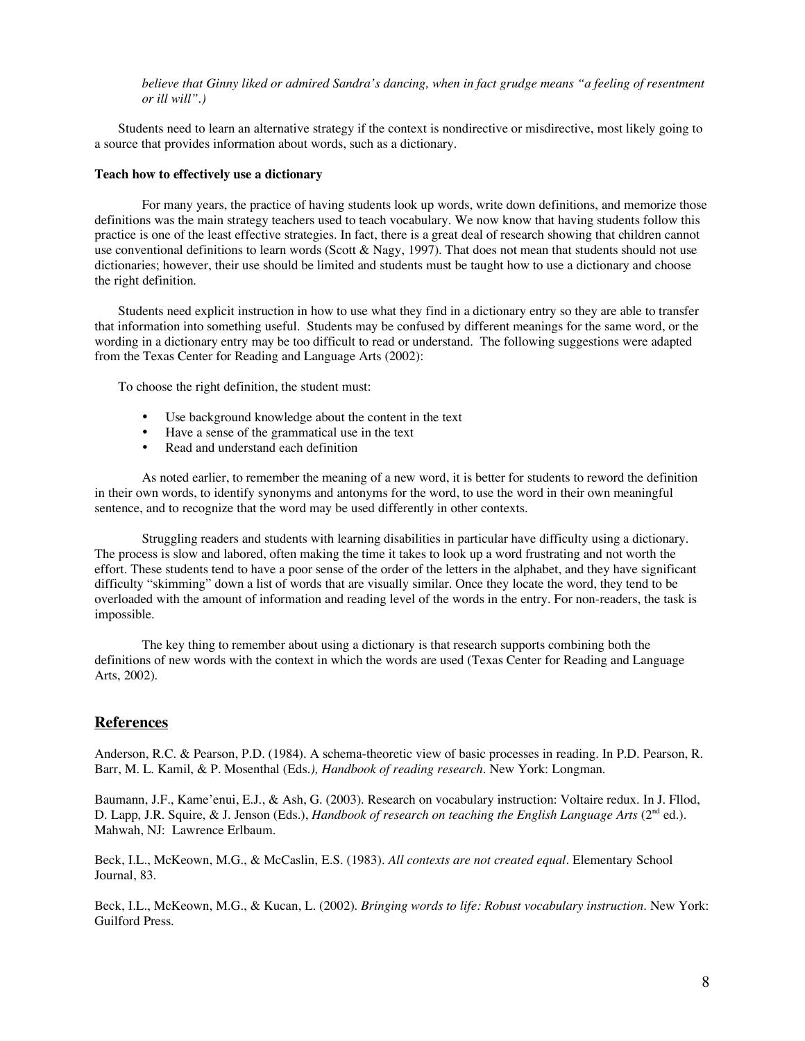*believe that Ginny liked or admired Sandra's dancing, when in fact grudge means "a feeling of resentment or ill will".)*

Students need to learn an alternative strategy if the context is nondirective or misdirective, most likely going to a source that provides information about words, such as a dictionary.

### **Teach how to effectively use a dictionary**

For many years, the practice of having students look up words, write down definitions, and memorize those definitions was the main strategy teachers used to teach vocabulary. We now know that having students follow this practice is one of the least effective strategies. In fact, there is a great deal of research showing that children cannot use conventional definitions to learn words (Scott  $\&$  Nagy, 1997). That does not mean that students should not use dictionaries; however, their use should be limited and students must be taught how to use a dictionary and choose the right definition.

Students need explicit instruction in how to use what they find in a dictionary entry so they are able to transfer that information into something useful. Students may be confused by different meanings for the same word, or the wording in a dictionary entry may be too difficult to read or understand. The following suggestions were adapted from the Texas Center for Reading and Language Arts (2002):

To choose the right definition, the student must:

- Use background knowledge about the content in the text
- Have a sense of the grammatical use in the text
- Read and understand each definition

As noted earlier, to remember the meaning of a new word, it is better for students to reword the definition in their own words, to identify synonyms and antonyms for the word, to use the word in their own meaningful sentence, and to recognize that the word may be used differently in other contexts.

Struggling readers and students with learning disabilities in particular have difficulty using a dictionary. The process is slow and labored, often making the time it takes to look up a word frustrating and not worth the effort. These students tend to have a poor sense of the order of the letters in the alphabet, and they have significant difficulty "skimming" down a list of words that are visually similar. Once they locate the word, they tend to be overloaded with the amount of information and reading level of the words in the entry. For non-readers, the task is impossible.

The key thing to remember about using a dictionary is that research supports combining both the definitions of new words with the context in which the words are used (Texas Center for Reading and Language Arts, 2002).

## **References**

Anderson, R.C. & Pearson, P.D. (1984). A schema-theoretic view of basic processes in reading. In P.D. Pearson, R. Barr, M. L. Kamil, & P. Mosenthal (Eds*.), Handbook of reading research*. New York: Longman.

Baumann, J.F., Kame'enui, E.J., & Ash, G. (2003). Research on vocabulary instruction: Voltaire redux. In J. Fllod, D. Lapp, J.R. Squire, & J. Jenson (Eds.), *Handbook of research on teaching the English Language Arts* (2nd ed.). Mahwah, NJ: Lawrence Erlbaum.

Beck, I.L., McKeown, M.G., & McCaslin, E.S. (1983). *All contexts are not created equal*. Elementary School Journal, 83.

Beck, I.L., McKeown, M.G., & Kucan, L. (2002). *Bringing words to life: Robust vocabulary instruction*. New York: Guilford Press.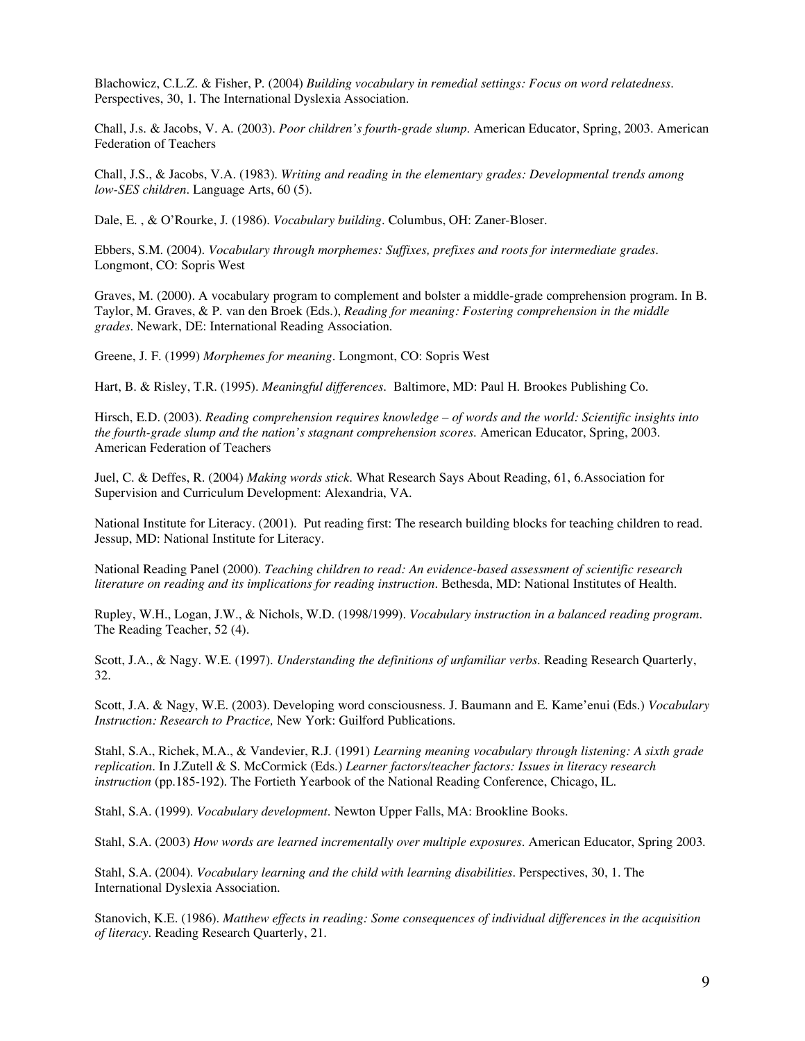Blachowicz, C.L.Z. & Fisher, P. (2004) *Building vocabulary in remedial settings: Focus on word relatedness*. Perspectives, 30, 1. The International Dyslexia Association.

Chall, J.s. & Jacobs, V. A. (2003). *Poor children's fourth-grade slump*. American Educator, Spring, 2003. American Federation of Teachers

Chall, J.S., & Jacobs, V.A. (1983). *Writing and reading in the elementary grades: Developmental trends among low-SES children*. Language Arts, 60 (5).

Dale, E. , & O'Rourke, J. (1986). *Vocabulary building.* Columbus, OH: Zaner-Bloser.

Ebbers, S.M. (2004). *Vocabulary through morphemes: Suffixes, prefixes and roots for intermediate grades.* Longmont, CO: Sopris West

Graves, M. (2000). A vocabulary program to complement and bolster a middle-grade comprehension program. In B. Taylor, M. Graves, & P. van den Broek (Eds.), *Reading for meaning: Fostering comprehension in the middle grades.* Newark, DE: International Reading Association.

Greene, J. F. (1999) *Morphemes for meaning*. Longmont, CO: Sopris West

Hart, B. & Risley, T.R. (1995). *Meaningful differences*. Baltimore, MD: Paul H. Brookes Publishing Co.

Hirsch, E.D. (2003). *Reading comprehension requires knowledge – of words and the world: Scientific insights into the fourth-grade slump and the nation's stagnant comprehension scores*. American Educator, Spring, 2003. American Federation of Teachers

Juel, C. & Deffes, R. (2004) *Making words stick*. What Research Says About Reading, 61, 6.Association for Supervision and Curriculum Development: Alexandria, VA.

National Institute for Literacy. (2001). Put reading first: The research building blocks for teaching children to read. Jessup, MD: National Institute for Literacy.

National Reading Panel (2000). *Teaching children to read: An evidence-based assessment of scientific research literature on reading and its implications for reading instruction.* Bethesda, MD: National Institutes of Health.

Rupley, W.H., Logan, J.W., & Nichols, W.D. (1998/1999). *Vocabulary instruction in a balanced reading program*. The Reading Teacher, 52 (4).

Scott, J.A., & Nagy. W.E. (1997). *Understanding the definitions of unfamiliar verbs*. Reading Research Quarterly, 32.

Scott, J.A. & Nagy, W.E. (2003). Developing word consciousness. J. Baumann and E. Kame'enui (Eds.) *Vocabulary Instruction: Research to Practice,* New York: Guilford Publications.

Stahl, S.A., Richek, M.A., & Vandevier, R.J. (1991) *Learning meaning vocabulary through listening: A sixth grade replication*. In J.Zutell & S. McCormick (Eds.) *Learner factors/teacher factors: Issues in literacy research instruction* (pp.185-192). The Fortieth Yearbook of the National Reading Conference, Chicago, IL.

Stahl, S.A. (1999). *Vocabulary development*. Newton Upper Falls, MA: Brookline Books.

Stahl, S.A. (2003) *How words are learned incrementally over multiple exposures*. American Educator, Spring 2003.

Stahl, S.A. (2004). *Vocabulary learning and the child with learning disabilities*. Perspectives, 30, 1. The International Dyslexia Association.

Stanovich, K.E. (1986). *Matthew effects in reading: Some consequences of individual differences in the acquisition of literacy*. Reading Research Quarterly, 21.